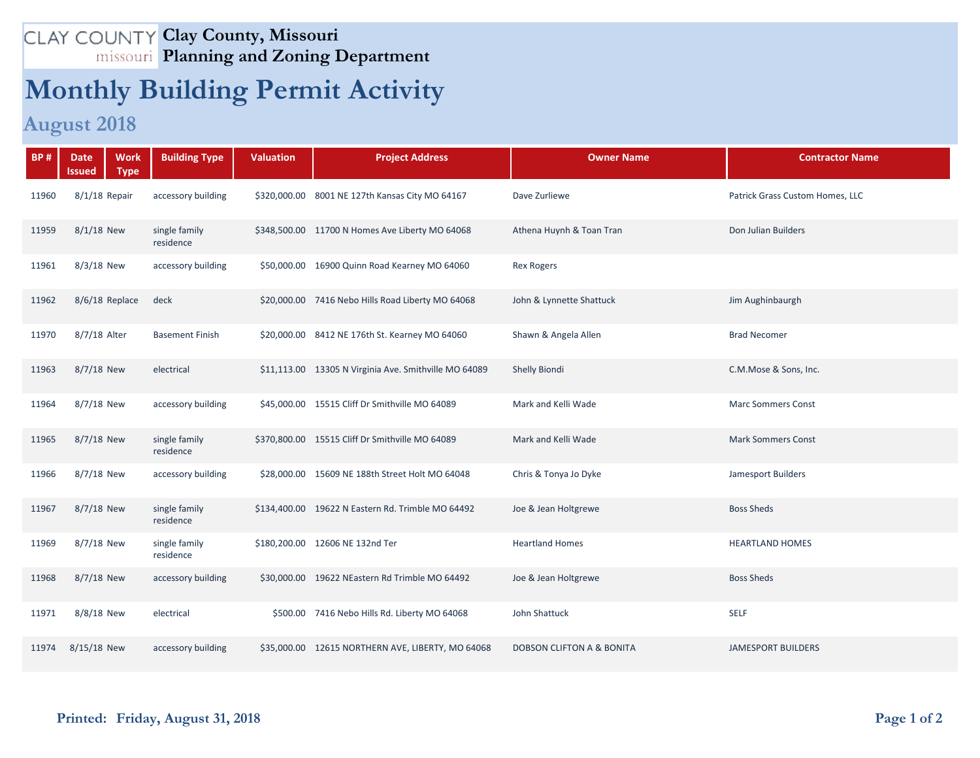## **Clay County, Missouri Planning and Zoning Department**

## **Monthly Building Permit Activity**

## **August 2018**

| <b>BP#</b> | <b>Date</b><br><b>Work</b><br><b>Type</b><br><b>Issued</b> | <b>Building Type</b>       | <b>Valuation</b> | <b>Project Address</b>                                | <b>Owner Name</b>                    | <b>Contractor Name</b>          |
|------------|------------------------------------------------------------|----------------------------|------------------|-------------------------------------------------------|--------------------------------------|---------------------------------|
| 11960      | $8/1/18$ Repair                                            | accessory building         |                  | \$320,000.00 8001 NE 127th Kansas City MO 64167       | Dave Zurliewe                        | Patrick Grass Custom Homes, LLC |
| 11959      | $8/1/18$ New                                               | single family<br>residence |                  | \$348,500.00 11700 N Homes Ave Liberty MO 64068       | Athena Huynh & Toan Tran             | Don Julian Builders             |
| 11961      | 8/3/18 New                                                 | accessory building         |                  | \$50,000.00 16900 Quinn Road Kearney MO 64060         | <b>Rex Rogers</b>                    |                                 |
| 11962      | 8/6/18 Replace                                             | deck                       |                  | \$20,000.00 7416 Nebo Hills Road Liberty MO 64068     | John & Lynnette Shattuck             | Jim Aughinbaurgh                |
| 11970      | 8/7/18 Alter                                               | <b>Basement Finish</b>     |                  | \$20,000.00 8412 NE 176th St. Kearney MO 64060        | Shawn & Angela Allen                 | <b>Brad Necomer</b>             |
| 11963      | 8/7/18 New                                                 | electrical                 |                  | \$11,113.00 13305 N Virginia Ave. Smithville MO 64089 | Shelly Biondi                        | C.M.Mose & Sons, Inc.           |
| 11964      | 8/7/18 New                                                 | accessory building         |                  | \$45,000.00 15515 Cliff Dr Smithville MO 64089        | Mark and Kelli Wade                  | <b>Marc Sommers Const</b>       |
| 11965      | 8/7/18 New                                                 | single family<br>residence |                  | \$370,800.00 15515 Cliff Dr Smithville MO 64089       | Mark and Kelli Wade                  | <b>Mark Sommers Const</b>       |
| 11966      | 8/7/18 New                                                 | accessory building         |                  | \$28,000.00 15609 NE 188th Street Holt MO 64048       | Chris & Tonya Jo Dyke                | Jamesport Builders              |
| 11967      | 8/7/18 New                                                 | single family<br>residence |                  | \$134,400.00 19622 N Eastern Rd. Trimble MO 64492     | Joe & Jean Holtgrewe                 | <b>Boss Sheds</b>               |
| 11969      | 8/7/18 New                                                 | single family<br>residence |                  | \$180,200.00 12606 NE 132nd Ter                       | <b>Heartland Homes</b>               | <b>HEARTLAND HOMES</b>          |
| 11968      | 8/7/18 New                                                 | accessory building         |                  | \$30,000.00 19622 NEastern Rd Trimble MO 64492        | Joe & Jean Holtgrewe                 | <b>Boss Sheds</b>               |
| 11971      | 8/8/18 New                                                 | electrical                 | \$500.00         | 7416 Nebo Hills Rd. Liberty MO 64068                  | John Shattuck                        | <b>SELF</b>                     |
| 11974      | 8/15/18 New                                                | accessory building         |                  | \$35,000.00 12615 NORTHERN AVE, LIBERTY, MO 64068     | <b>DOBSON CLIFTON A &amp; BONITA</b> | <b>JAMESPORT BUILDERS</b>       |